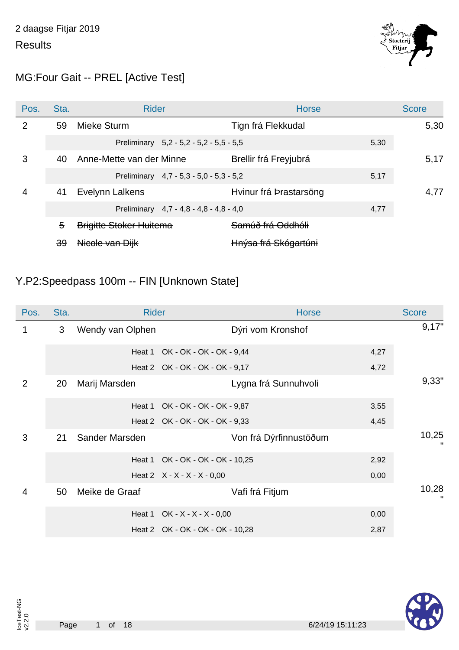

### MG:Four Gait -- PREL [Active Test]

| Pos. | Sta.          | <b>Rider</b>                            | <b>Horse</b>           | <b>Score</b> |
|------|---------------|-----------------------------------------|------------------------|--------------|
| 2    | 59            | Mieke Sturm                             | Tign frá Flekkudal     | 5,30         |
|      |               | Preliminary 5,2 - 5,2 - 5,2 - 5,5 - 5,5 | 5,30                   |              |
| 3    | 40            | Anne-Mette van der Minne                | Brellir frá Freyjubrá  | 5,17         |
|      |               | Preliminary 4,7 - 5,3 - 5,0 - 5,3 - 5,2 | 5,17                   |              |
| 4    | 41            | Evelynn Lalkens                         | Hvinur frá Þrastarsöng | 4,77         |
|      |               | Preliminary 4,7 - 4,8 - 4,8 - 4,8 - 4,0 | 4,77                   |              |
|      | 5             | <b>Brigitte Stoker Huitema</b>          | Samúð frá Oddhóli      |              |
|      | <del>39</del> | Nicole van Dijk                         | Hnýsa frá Skógartúni   |              |

#### Y.P2:Speedpass 100m -- FIN [Unknown State]

| Pos.           | Sta. | <b>Rider</b>     |                                  | <b>Horse</b>           |      | <b>Score</b> |
|----------------|------|------------------|----------------------------------|------------------------|------|--------------|
| 1              | 3    | Wendy van Olphen |                                  | Dýri vom Kronshof      |      | 9,17"        |
|                |      | Heat 1           | OK - OK - OK - OK - 9,44         |                        | 4,27 |              |
|                |      |                  | Heat 2 OK - OK - OK - OK - 9,17  |                        | 4,72 |              |
| 2              | 20   | Marij Marsden    |                                  | Lygna frá Sunnuhvoli   |      | 9,33"        |
|                |      | Heat 1           | OK - OK - OK - OK - 9,87         |                        | 3,55 |              |
|                |      |                  | Heat 2 OK - OK - OK - OK - 9,33  |                        | 4,45 |              |
| 3              | 21   | Sander Marsden   |                                  | Von frá Dýrfinnustöðum |      | 10,25        |
|                |      | Heat 1           | OK - OK - OK - OK - 10,25        |                        | 2,92 |              |
|                |      |                  | Heat 2 $X - X - X - X - 0,00$    |                        | 0,00 |              |
| $\overline{4}$ | 50   | Meike de Graaf   |                                  | Vafi frá Fitjum        |      | 10,28        |
|                |      | Heat 1           | $OK - X - X - X - 0,00$          |                        | 0,00 |              |
|                |      |                  | Heat 2 OK - OK - OK - OK - 10,28 |                        | 2,87 |              |

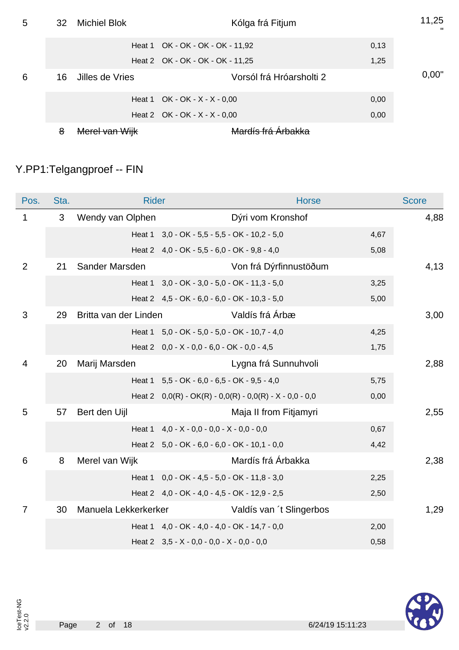| 5 | 32 | <b>Michiel Blok</b> | Kólga frá Fitjum                 |      |       |
|---|----|---------------------|----------------------------------|------|-------|
|   |    |                     | Heat 1 OK - OK - OK - OK - 11,92 | 0,13 |       |
|   |    |                     | Heat 2 OK - OK - OK - OK - 11,25 | 1,25 |       |
| 6 | 16 | Jilles de Vries     | Vorsól frá Hróarsholti 2         |      | 0,00" |
|   |    |                     | Heat 1 OK - OK - $X - X - 0,00$  | 0,00 |       |
|   |    |                     | Heat 2 OK - OK - $X - X - 0,00$  | 0,00 |       |
|   | 8  | Merel van Wijk      | Mardíe frá Arhakka               |      |       |

# Y.PP1:Telgangproef -- FIN

| Pos.            | Sta. | <b>Rider</b>          |                                                    | <b>Horse</b>                                              |      | <b>Score</b> |
|-----------------|------|-----------------------|----------------------------------------------------|-----------------------------------------------------------|------|--------------|
| 1               | 3    | Wendy van Olphen      |                                                    | Dýri vom Kronshof                                         |      | 4,88         |
|                 |      |                       | Heat 1 3,0 - OK - 5,5 - 5,5 - OK - 10,2 - 5,0      |                                                           | 4,67 |              |
|                 |      |                       | Heat 2 4,0 - OK - 5,5 - 6,0 - OK - 9,8 - 4,0       |                                                           | 5,08 |              |
| $\overline{2}$  | 21   | Sander Marsden        |                                                    | Von frá Dýrfinnustöðum                                    |      | 4,13         |
|                 |      |                       | Heat 1 3,0 - OK - 3,0 - 5,0 - OK - 11,3 - 5,0      |                                                           | 3,25 |              |
|                 |      |                       | Heat 2 4,5 - OK - 6,0 - 6,0 - OK - 10,3 - 5,0      |                                                           | 5,00 |              |
| 3               | 29   | Britta van der Linden |                                                    | Valdís frá Árbæ                                           |      | 3,00         |
|                 |      |                       | Heat 1 5,0 - OK - 5,0 - 5,0 - OK - 10,7 - 4,0      |                                                           | 4,25 |              |
|                 |      |                       | Heat 2 $0,0 - X - 0,0 - 6,0 - OK - 0,0 - 4,5$      |                                                           | 1,75 |              |
| $\overline{4}$  | 20   | Marij Marsden         |                                                    | Lygna frá Sunnuhvoli                                      |      | 2,88         |
|                 |      |                       | Heat 1 5,5 - OK - 6,0 - 6,5 - OK - 9,5 - 4,0       |                                                           | 5,75 |              |
|                 |      |                       |                                                    | Heat 2 $0,0(R) - OK(R) - 0,0(R) - 0,0(R) - X - 0,0 - 0,0$ | 0,00 |              |
| 5               | 57   | Bert den Uijl         |                                                    | Maja II from Fitjamyri                                    |      | 2,55         |
|                 |      |                       | Heat $1 \quad 4.0 - X - 0.0 - 0.0 - X - 0.0 - 0.0$ |                                                           | 0,67 |              |
|                 |      |                       | Heat 2 5,0 - OK - 6,0 - 6,0 - OK - 10,1 - 0,0      |                                                           | 4,42 |              |
| $6\phantom{1}6$ | 8    | Merel van Wijk        |                                                    | Mardís frá Árbakka                                        |      | 2,38         |
|                 |      |                       | Heat 1 0,0 - OK - 4,5 - 5,0 - OK - 11,8 - 3,0      |                                                           | 2,25 |              |
|                 |      |                       | Heat 2 4,0 - OK - 4,0 - 4,5 - OK - 12,9 - 2,5      |                                                           | 2,50 |              |
| $\overline{7}$  | 30   | Manuela Lekkerkerker  |                                                    | Valdís van 't Slingerbos                                  |      | 1,29         |
|                 |      |                       | Heat 1 4,0 - OK - 4,0 - 4,0 - OK - 14,7 - 0,0      |                                                           | 2,00 |              |
|                 |      |                       | Heat 2 $3,5 - X - 0,0 - 0,0 - X - 0,0 - 0,0$       |                                                           | 0,58 |              |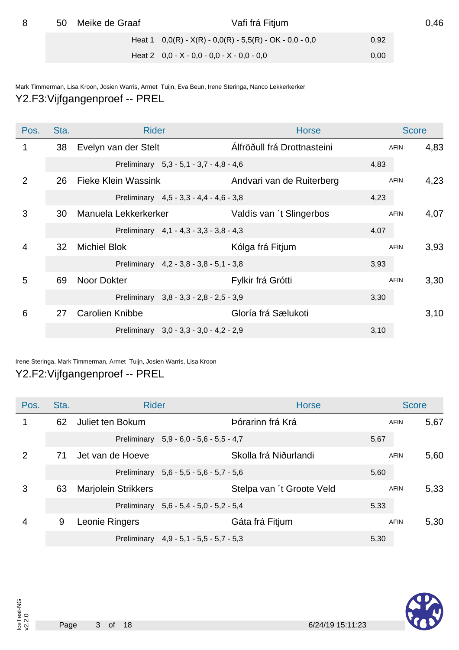| Meike de Graaf<br>50 |  | Vafi frá Fitjum                                           |      | 0,46 |
|----------------------|--|-----------------------------------------------------------|------|------|
|                      |  | Heat 1 $0,0(R) - X(R) - 0,0(R) - 5,5(R) - OK - 0,0 - 0,0$ | 0,92 |      |
|                      |  | Heat 2 $0,0 - X - 0,0 - 0,0 - X - 0,0 - 0,0$              | 0,00 |      |

Mark Timmerman, Lisa Kroon, Josien Warris, Armet Tuijn, Eva Beun, Irene Steringa, Nanco Lekkerkerker Y2.F3:Vijfgangenproef -- PREL

| Pos. | Sta. | <b>Rider</b>                            | <b>Horse</b>                |             | <b>Score</b> |
|------|------|-----------------------------------------|-----------------------------|-------------|--------------|
| 1    | 38   | Evelyn van der Stelt                    | Álfröðull frá Drottnasteini | <b>AFIN</b> | 4,83         |
|      |      | Preliminary 5,3 - 5,1 - 3,7 - 4,8 - 4,6 |                             | 4,83        |              |
| 2    | 26   | <b>Fieke Klein Wassink</b>              | Andvari van de Ruiterberg   | <b>AFIN</b> | 4,23         |
|      |      | Preliminary 4,5 - 3,3 - 4,4 - 4,6 - 3,8 |                             | 4,23        |              |
| 3    | 30   | Manuela Lekkerkerker                    | Valdís van 't Slingerbos    | <b>AFIN</b> | 4,07         |
|      |      | Preliminary 4,1 - 4,3 - 3,3 - 3,8 - 4,3 |                             | 4,07        |              |
| 4    | 32   | <b>Michiel Blok</b>                     | Kólga frá Fitjum            | <b>AFIN</b> | 3,93         |
|      |      | Preliminary 4,2 - 3,8 - 3,8 - 5,1 - 3,8 |                             | 3,93        |              |
| 5    | 69   | Noor Dokter                             | Fylkir frá Grótti           | <b>AFIN</b> | 3,30         |
|      |      | Preliminary 3,8 - 3,3 - 2,8 - 2,5 - 3,9 |                             | 3,30        |              |
| 6    | 27   | <b>Carolien Knibbe</b>                  | Gloría frá Sælukoti         |             | 3,10         |
|      |      | Preliminary 3,0 - 3,3 - 3,0 - 4,2 - 2,9 |                             | 3,10        |              |

#### Irene Steringa, Mark Timmerman, Armet Tuijn, Josien Warris, Lisa Kroon Y2.F2:Vijfgangenproef -- PREL

| Pos. | Sta. | <b>Rider</b>               |                                           | <b>Horse</b>              |      | <b>Score</b> |      |
|------|------|----------------------------|-------------------------------------------|---------------------------|------|--------------|------|
| 1    | 62   | Juliet ten Bokum           |                                           | Þórarinn frá Krá          |      | <b>AFIN</b>  | 5,67 |
|      |      |                            | Preliminary 5,9 - 6,0 - 5,6 - 5,5 - 4,7   |                           | 5,67 |              |      |
| 2    | 71   | Jet van de Hoeve           |                                           | Skolla frá Niðurlandi     |      | <b>AFIN</b>  | 5,60 |
|      |      |                            | Preliminary 5,6 - 5,5 - 5,6 - 5,7 - 5,6   |                           | 5,60 |              |      |
| 3    | 63   | <b>Marjolein Strikkers</b> |                                           | Stelpa van 't Groote Veld |      | <b>AFIN</b>  | 5,33 |
|      |      |                            | Preliminary 5,6 - 5,4 - 5,0 - 5,2 - 5,4   |                           | 5,33 |              |      |
| 4    | 9    | Leonie Ringers             |                                           | Gáta frá Fitjum           |      | <b>AFIN</b>  | 5,30 |
|      |      |                            | Preliminary $4.9 - 5.1 - 5.5 - 5.7 - 5.3$ |                           | 5,30 |              |      |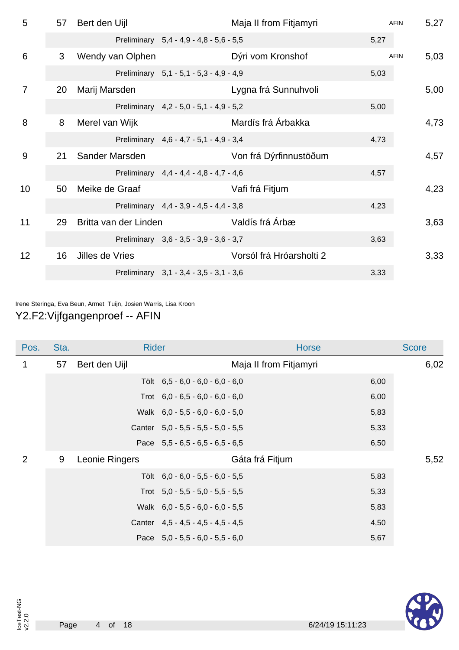| 5              | 57 | Bert den Uijl         |                                         | Maja II from Fitjamyri   |      | <b>AFIN</b> | 5,27 |
|----------------|----|-----------------------|-----------------------------------------|--------------------------|------|-------------|------|
|                |    |                       | Preliminary 5,4 - 4,9 - 4,8 - 5,6 - 5,5 |                          | 5,27 |             |      |
| 6              | 3  | Wendy van Olphen      |                                         | Dýri vom Kronshof        |      | <b>AFIN</b> | 5,03 |
|                |    |                       | Preliminary 5,1 - 5,1 - 5,3 - 4,9 - 4,9 |                          | 5,03 |             |      |
| $\overline{7}$ | 20 | Marij Marsden         |                                         | Lygna frá Sunnuhvoli     |      |             | 5,00 |
|                |    |                       | Preliminary 4,2 - 5,0 - 5,1 - 4,9 - 5,2 |                          | 5,00 |             |      |
| 8              | 8  | Merel van Wijk        |                                         | Mardís frá Árbakka       |      |             | 4,73 |
|                |    |                       | Preliminary 4,6 - 4,7 - 5,1 - 4,9 - 3,4 |                          | 4,73 |             |      |
| 9              | 21 | Sander Marsden        |                                         | Von frá Dýrfinnustöðum   |      |             | 4,57 |
|                |    |                       | Preliminary 4,4 - 4,4 - 4,8 - 4,7 - 4,6 |                          | 4,57 |             |      |
| 10             | 50 | Meike de Graaf        |                                         | Vafi frá Fitjum          |      |             | 4,23 |
|                |    |                       | Preliminary 4,4 - 3,9 - 4,5 - 4,4 - 3,8 |                          | 4,23 |             |      |
| 11             | 29 | Britta van der Linden |                                         | Valdís frá Árbæ          |      |             | 3,63 |
|                |    |                       | Preliminary 3,6 - 3,5 - 3,9 - 3,6 - 3,7 |                          | 3,63 |             |      |
| 12             | 16 | Jilles de Vries       |                                         | Vorsól frá Hróarsholti 2 |      |             | 3,33 |
|                |    |                       | Preliminary 3,1 - 3,4 - 3,5 - 3,1 - 3,6 |                          | 3,33 |             |      |
|                |    |                       |                                         |                          |      |             |      |

Irene Steringa, Eva Beun, Armet Tuijn, Josien Warris, Lisa Kroon

Y2.F2:Vijfgangenproef -- AFIN

| Pos. | Sta. | <b>Rider</b>   |                                      | <b>Horse</b>           |      | <b>Score</b> |
|------|------|----------------|--------------------------------------|------------------------|------|--------------|
| 1    | 57   | Bert den Uijl  |                                      | Maja II from Fitjamyri |      | 6,02         |
|      |      |                | Tölt $6,5 - 6,0 - 6,0 - 6,0 - 6,0$   |                        | 6,00 |              |
|      |      |                | Trot $6,0 - 6,5 - 6,0 - 6,0 - 6,0$   |                        | 6,00 |              |
|      |      |                | Walk $6,0 - 5,5 - 6,0 - 6,0 - 5,0$   |                        | 5,83 |              |
|      |      |                | Canter $5,0 - 5,5 - 5,5 - 5,0 - 5,5$ |                        | 5,33 |              |
|      |      |                | Pace $5,5 - 6,5 - 6,5 - 6,5 - 6,5$   |                        | 6,50 |              |
| 2    | 9    | Leonie Ringers |                                      | Gáta frá Fitjum        |      | 5,52         |
|      |      |                | Tölt $6,0 - 6,0 - 5,5 - 6,0 - 5,5$   |                        | 5,83 |              |
|      |      |                | Trot $5,0 - 5,5 - 5,0 - 5,5 - 5,5$   |                        | 5,33 |              |
|      |      |                | Walk 6,0 - 5,5 - 6,0 - 6,0 - 5,5     |                        | 5,83 |              |
|      |      |                | Canter 4,5 - 4,5 - 4,5 - 4,5 - 4,5   |                        | 4,50 |              |
|      |      |                | Pace $5,0 - 5,5 - 6,0 - 5,5 - 6,0$   |                        | 5,67 |              |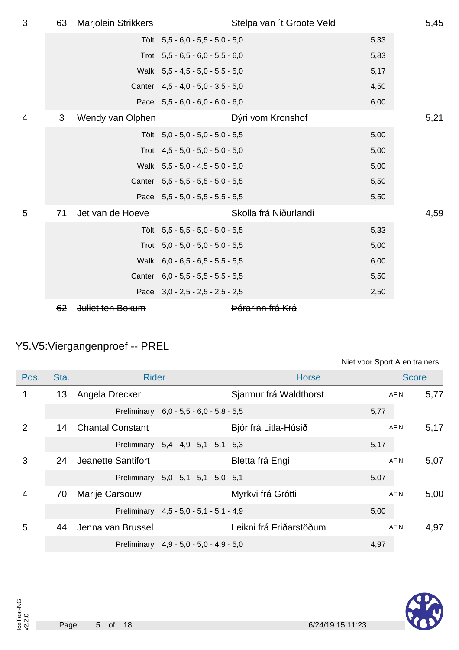| 3              | 63 | Marjolein Strikkers |                                    | Stelpa van 't Groote Veld   |      | 5,45 |
|----------------|----|---------------------|------------------------------------|-----------------------------|------|------|
|                |    |                     | Tölt 5,5 - 6,0 - 5,5 - 5,0 - 5,0   |                             | 5,33 |      |
|                |    |                     | Trot $5,5 - 6,5 - 6,0 - 5,5 - 6,0$ |                             | 5,83 |      |
|                |    |                     | Walk 5,5 - 4,5 - 5,0 - 5,5 - 5,0   |                             | 5,17 |      |
|                |    |                     | Canter 4,5 - 4,0 - 5,0 - 3,5 - 5,0 |                             | 4,50 |      |
|                |    |                     | Pace $5,5 - 6,0 - 6,0 - 6,0 - 6,0$ |                             | 6,00 |      |
| $\overline{4}$ | 3  | Wendy van Olphen    |                                    | Dýri vom Kronshof           |      | 5,21 |
|                |    |                     | Tölt 5,0 - 5,0 - 5,0 - 5,0 - 5,5   |                             | 5,00 |      |
|                |    |                     | Trot $4,5 - 5,0 - 5,0 - 5,0 - 5,0$ |                             | 5,00 |      |
|                |    |                     | Walk 5,5 - 5,0 - 4,5 - 5,0 - 5,0   |                             | 5,00 |      |
|                |    |                     | Canter 5,5 - 5,5 - 5,5 - 5,0 - 5,5 |                             | 5,50 |      |
|                |    |                     | Pace 5,5 - 5,0 - 5,5 - 5,5 - 5,5   |                             | 5,50 |      |
| 5              | 71 | Jet van de Hoeve    |                                    | Skolla frá Niðurlandi       |      | 4,59 |
|                |    |                     | Tölt $5,5 - 5,5 - 5,0 - 5,0 - 5,5$ |                             | 5,33 |      |
|                |    |                     | Trot $5,0 - 5,0 - 5,0 - 5,0 - 5,5$ |                             | 5,00 |      |
|                |    |                     | Walk 6,0 - 6,5 - 6,5 - 5,5 - 5,5   |                             | 6,00 |      |
|                |    |                     | Canter 6,0 - 5,5 - 5,5 - 5,5 - 5,5 |                             | 5,50 |      |
|                |    |                     | Pace $3.0 - 2.5 - 2.5 - 2.5 - 2.5$ |                             | 2,50 |      |
|                | 62 | Juliet ten Bokum    |                                    | <del>Þórarinn frá Krá</del> |      |      |

# Y5.V5:Viergangenproef -- PREL

| Niet voor Sport A en trainers |  |  |
|-------------------------------|--|--|
|                               |  |  |

| Pos.           | Sta. | <b>Rider</b>            |                                         | <b>Horse</b>            |      | <b>Score</b> |      |
|----------------|------|-------------------------|-----------------------------------------|-------------------------|------|--------------|------|
| 1              | 13   | Angela Drecker          |                                         | Sjarmur frá Waldthorst  |      | <b>AFIN</b>  | 5,77 |
|                |      |                         | Preliminary 6,0 - 5,5 - 6,0 - 5,8 - 5,5 |                         | 5,77 |              |      |
| $\overline{2}$ | 14   | <b>Chantal Constant</b> |                                         | Bjór frá Litla-Húsið    |      | <b>AFIN</b>  | 5,17 |
|                |      |                         | Preliminary 5,4 - 4,9 - 5,1 - 5,1 - 5,3 |                         | 5,17 |              |      |
| 3              | 24   | Jeanette Santifort      |                                         | Bletta frá Engi         |      | <b>AFIN</b>  | 5,07 |
|                |      |                         | Preliminary 5,0 - 5,1 - 5,1 - 5,0 - 5,1 |                         | 5,07 |              |      |
| $\overline{4}$ | 70   | Marije Carsouw          |                                         | Myrkvi frá Grótti       |      | <b>AFIN</b>  | 5,00 |
|                |      |                         | Preliminary 4,5 - 5,0 - 5,1 - 5,1 - 4,9 |                         | 5,00 |              |      |
| 5              | 44   | Jenna van Brussel       |                                         | Leikni frá Friðarstöðum |      | <b>AFIN</b>  | 4,97 |
|                |      |                         | Preliminary 4,9 - 5,0 - 5,0 - 4,9 - 5,0 |                         | 4,97 |              |      |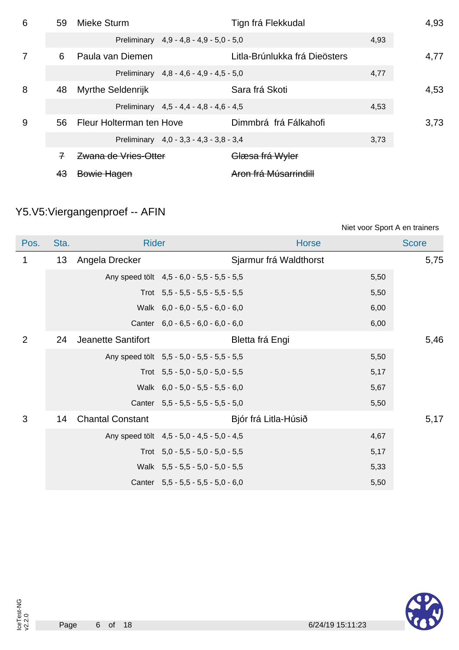| 6 | 59 | Mieke Sturm              |                                         | Tign frá Flekkudal            |      | 4,93 |
|---|----|--------------------------|-----------------------------------------|-------------------------------|------|------|
|   |    |                          | Preliminary 4,9 - 4,8 - 4,9 - 5,0 - 5,0 |                               | 4,93 |      |
| 7 | 6  | Paula van Diemen         |                                         | Litla-Brúnlukka frá Dieösters |      | 4,77 |
|   |    |                          | Preliminary 4,8 - 4,6 - 4,9 - 4,5 - 5,0 |                               | 4,77 |      |
| 8 | 48 | <b>Myrthe Seldenrijk</b> |                                         | Sara frá Skoti                |      | 4,53 |
|   |    |                          | Preliminary 4,5 - 4,4 - 4,8 - 4,6 - 4,5 |                               | 4,53 |      |
| 9 | 56 | Fleur Holterman ten Hove |                                         | Dimmbrá frá Fálkahofi         |      | 3.73 |
|   |    |                          | Preliminary 4,0 - 3,3 - 4,3 - 3,8 - 3,4 |                               | 3,73 |      |
|   | 7  | Zwana de Vries-Otter     |                                         | Glæsa frá Wyler               |      |      |
|   | 43 | Bowie Hagen              |                                         | Aron frá Músarrindill         |      |      |

## Y5.V5:Viergangenproef -- AFIN

|             |      |                           |                                            |                        | Niet voor Sport A en trainers |              |
|-------------|------|---------------------------|--------------------------------------------|------------------------|-------------------------------|--------------|
| Pos.        | Sta. | <b>Rider</b>              |                                            | <b>Horse</b>           |                               | <b>Score</b> |
| $\mathbf 1$ | 13   | Angela Drecker            |                                            | Sjarmur frá Waldthorst |                               | 5,75         |
|             |      |                           | Any speed tölt 4,5 - 6,0 - 5,5 - 5,5 - 5,5 |                        | 5,50                          |              |
|             |      |                           | Trot $5,5 - 5,5 - 5,5 - 5,5 - 5,5$         |                        | 5,50                          |              |
|             |      |                           | Walk 6,0 - 6,0 - 5,5 - 6,0 - 6,0           |                        | 6,00                          |              |
|             |      |                           | Canter $6,0 - 6,5 - 6,0 - 6,0 - 6,0$       |                        | 6,00                          |              |
| 2           | 24   | <b>Jeanette Santifort</b> |                                            | Bletta frá Engi        |                               | 5,46         |
|             |      |                           | Any speed tölt 5,5 - 5,0 - 5,5 - 5,5 - 5,5 |                        | 5,50                          |              |
|             |      |                           | Trot $5,5 - 5,0 - 5,0 - 5,0 - 5,5$         |                        | 5,17                          |              |
|             |      |                           | Walk 6,0 - 5,0 - 5,5 - 5,5 - 6,0           |                        | 5,67                          |              |
|             |      |                           | Canter 5,5 - 5,5 - 5,5 - 5,5 - 5,0         |                        | 5,50                          |              |
| 3           | 14   | <b>Chantal Constant</b>   |                                            | Bjór frá Litla-Húsið   |                               | 5,17         |
|             |      |                           | Any speed tölt 4,5 - 5,0 - 4,5 - 5,0 - 4,5 |                        | 4,67                          |              |
|             |      |                           | Trot $5,0 - 5,5 - 5,0 - 5,0 - 5,5$         |                        | 5,17                          |              |
|             |      |                           | Walk 5,5 - 5,5 - 5,0 - 5,0 - 5,5           |                        | 5,33                          |              |
|             |      |                           | Canter $5,5 - 5,5 - 5,5 - 5,0 - 6,0$       |                        | 5,50                          |              |

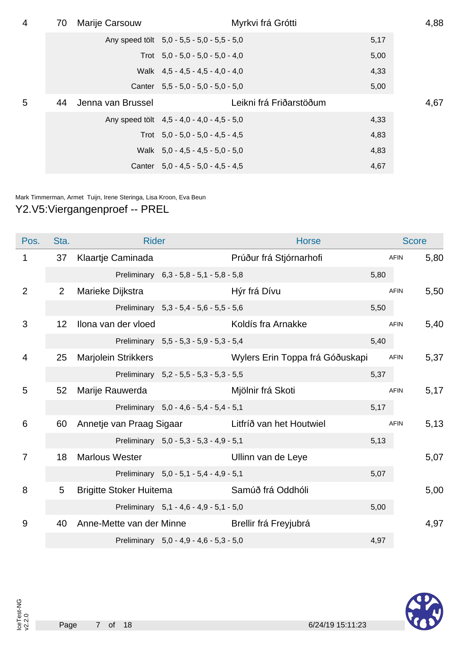| $\overline{4}$ | 70 | Marije Carsouw    | Myrkvi frá Grótti                          |      | 4,88 |
|----------------|----|-------------------|--------------------------------------------|------|------|
|                |    |                   | Any speed tolt 5,0 - 5,5 - 5,0 - 5,5 - 5,0 | 5,17 |      |
|                |    |                   | Trot $5.0 - 5.0 - 5.0 - 5.0 - 4.0$         | 5,00 |      |
|                |    |                   | Walk $4.5 - 4.5 - 4.5 - 4.0 - 4.0$         | 4,33 |      |
|                |    |                   | Canter $5,5 - 5,0 - 5,0 - 5,0 - 5,0$       | 5,00 |      |
| 5              | 44 | Jenna van Brussel | Leikni frá Friðarstöðum                    |      | 4,67 |
|                |    |                   | Any speed tölt 4,5 - 4,0 - 4,0 - 4,5 - 5,0 | 4,33 |      |
|                |    |                   | Trot $5.0 - 5.0 - 5.0 - 4.5 - 4.5$         | 4,83 |      |
|                |    |                   | Walk $5.0 - 4.5 - 4.5 - 5.0 - 5.0$         | 4,83 |      |
|                |    |                   | Canter $5.0 - 4.5 - 5.0 - 4.5 - 4.5$       | 4,67 |      |

Mark Timmerman, Armet Tuijn, Irene Steringa, Lisa Kroon, Eva Beun

### Y2.V5:Viergangenproef -- PREL

| Pos.           | Sta.           | <b>Rider</b>                                   |                                         | <b>Horse</b>                                      |      | <b>Score</b> |      |
|----------------|----------------|------------------------------------------------|-----------------------------------------|---------------------------------------------------|------|--------------|------|
| 1              | 37             | Klaartje Caminada                              |                                         | Prúður frá Stjórnarhofi                           |      | AFIN         | 5,80 |
|                |                |                                                | Preliminary 6,3 - 5,8 - 5,1 - 5,8 - 5,8 |                                                   | 5,80 |              |      |
| $\overline{2}$ | $\overline{2}$ | Marieke Dijkstra                               |                                         | Hýr frá Dívu                                      |      | <b>AFIN</b>  | 5,50 |
|                |                |                                                | Preliminary 5,3 - 5,4 - 5,6 - 5,5 - 5,6 |                                                   | 5,50 |              |      |
| 3              | 12             | Ilona van der vloed                            |                                         | Koldís fra Arnakke                                |      | <b>AFIN</b>  | 5,40 |
|                |                |                                                | Preliminary 5,5 - 5,3 - 5,9 - 5,3 - 5,4 |                                                   | 5,40 |              |      |
| 4              | 25             | Marjolein Strikkers                            |                                         | Wylers Erin Toppa frá Góðuskapi                   |      | AFIN         | 5,37 |
|                |                |                                                | Preliminary 5,2 - 5,5 - 5,3 - 5,3 - 5,5 |                                                   | 5,37 |              |      |
| 5              | 52             | Marije Rauwerda                                |                                         | Mjölnir frá Skoti                                 |      | <b>AFIN</b>  | 5,17 |
|                |                |                                                | Preliminary 5,0 - 4,6 - 5,4 - 5,4 - 5,1 |                                                   | 5,17 |              |      |
| 6              | 60             |                                                |                                         | Annetje van Praag Sigaar Litfríð van het Houtwiel |      | <b>AFIN</b>  | 5,13 |
|                |                |                                                | Preliminary 5,0 - 5,3 - 5,3 - 4,9 - 5,1 |                                                   | 5,13 |              |      |
| 7              | 18             | <b>Marlous Wester</b>                          |                                         | Ullinn van de Leye                                |      |              | 5,07 |
|                |                |                                                | Preliminary 5,0 - 5,1 - 5,4 - 4,9 - 5,1 |                                                   | 5,07 |              |      |
| 8              | 5              | <b>Brigitte Stoker Huitema</b>                 |                                         | Samúð frá Oddhóli                                 |      |              | 5,00 |
|                |                |                                                | Preliminary 5,1 - 4,6 - 4,9 - 5,1 - 5,0 |                                                   | 5,00 |              |      |
| 9              | 40             | Anne-Mette van der Minne Brellir frá Freyjubrá |                                         |                                                   |      |              | 4,97 |
|                |                |                                                | Preliminary 5,0 - 4,9 - 4,6 - 5,3 - 5,0 |                                                   | 4,97 |              |      |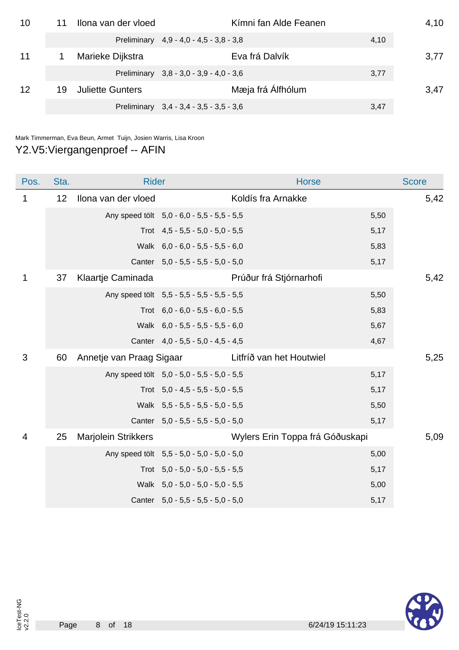| 10 |    | Ilona van der vloed     |                                           | Kímni fan Alde Feanen |      | 4,10 |
|----|----|-------------------------|-------------------------------------------|-----------------------|------|------|
|    |    |                         | Preliminary $4.9 - 4.0 - 4.5 - 3.8 - 3.8$ |                       | 4,10 |      |
| 11 |    | Marieke Dijkstra        |                                           | Eva frá Dalvík        |      | 3,77 |
|    |    |                         | Preliminary 3,8 - 3,0 - 3,9 - 4,0 - 3,6   |                       | 3,77 |      |
| 12 | 19 | <b>Juliette Gunters</b> |                                           | Mæja frá Álfhólum     |      | 3,47 |
|    |    |                         | Preliminary 3,4 - 3,4 - 3,5 - 3,5 - 3,6   |                       | 3,47 |      |

Mark Timmerman, Eva Beun, Armet Tuijn, Josien Warris, Lisa Kroon

### Y2.V5:Viergangenproef -- AFIN

| Pos. | Sta. | <b>Rider</b>             |                                            | <b>Horse</b>                    |      | <b>Score</b> |
|------|------|--------------------------|--------------------------------------------|---------------------------------|------|--------------|
| 1    | 12   | Ilona van der vloed      |                                            | Koldís fra Arnakke              |      | 5,42         |
|      |      |                          | Any speed tölt 5,0 - 6,0 - 5,5 - 5,5 - 5,5 |                                 | 5,50 |              |
|      |      |                          | Trot $4.5 - 5.5 - 5.0 - 5.0 - 5.5$         |                                 | 5,17 |              |
|      |      |                          | Walk 6,0 - 6,0 - 5,5 - 5,5 - 6,0           |                                 | 5,83 |              |
|      |      |                          | Canter 5,0 - 5,5 - 5,5 - 5,0 - 5,0         |                                 | 5,17 |              |
| 1    | 37   | Klaartje Caminada        |                                            | Prúður frá Stjórnarhofi         |      | 5,42         |
|      |      |                          | Any speed tölt 5,5 - 5,5 - 5,5 - 5,5 - 5,5 |                                 | 5,50 |              |
|      |      |                          | Trot $6,0 - 6,0 - 5,5 - 6,0 - 5,5$         |                                 | 5,83 |              |
|      |      |                          | Walk 6,0 - 5,5 - 5,5 - 5,5 - 6,0           |                                 | 5,67 |              |
|      |      |                          | Canter 4,0 - 5,5 - 5,0 - 4,5 - 4,5         |                                 | 4,67 |              |
| 3    | 60   | Annetje van Praag Sigaar |                                            | Litfríð van het Houtwiel        |      | 5,25         |
|      |      |                          | Any speed tölt 5,0 - 5,0 - 5,5 - 5,0 - 5,5 |                                 | 5,17 |              |
|      |      |                          | Trot $5,0 - 4,5 - 5,5 - 5,0 - 5,5$         |                                 | 5,17 |              |
|      |      |                          | Walk 5,5 - 5,5 - 5,5 - 5,0 - 5,5           |                                 | 5,50 |              |
|      |      |                          | Canter 5,0 - 5,5 - 5,5 - 5,0 - 5,0         |                                 | 5,17 |              |
| 4    | 25   | Marjolein Strikkers      |                                            | Wylers Erin Toppa frá Góðuskapi |      | 5,09         |
|      |      |                          | Any speed tölt 5,5 - 5,0 - 5,0 - 5,0 - 5,0 |                                 | 5,00 |              |
|      |      |                          | Trot $5,0 - 5,0 - 5,0 - 5,5 - 5,5$         |                                 | 5,17 |              |
|      |      |                          | Walk 5,0 - 5,0 - 5,0 - 5,0 - 5,5           |                                 | 5,00 |              |
|      |      |                          | Canter 5,0 - 5,5 - 5,5 - 5,0 - 5,0         |                                 | 5,17 |              |

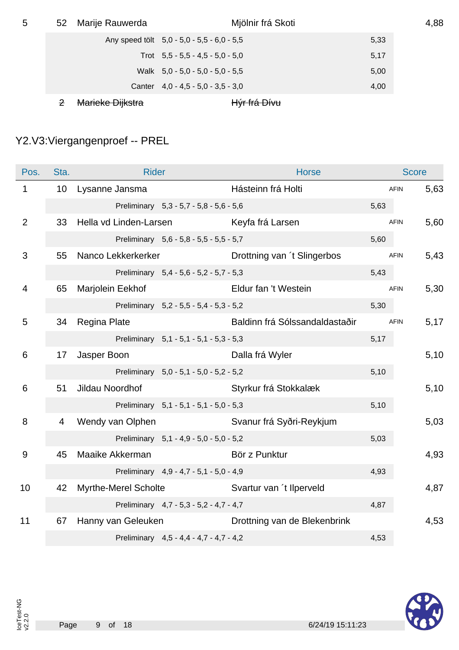| 5 | 52          | Marije Rauwerda  | Mjölnir frá Skoti                          |      | 4,88 |
|---|-------------|------------------|--------------------------------------------|------|------|
|   |             |                  | Any speed tolt 5,0 - 5,0 - 5,5 - 6,0 - 5,5 | 5,33 |      |
|   |             |                  | Trot $5.5 - 5.5 - 4.5 - 5.0 - 5.0$         | 5,17 |      |
|   |             |                  | Walk $5.0 - 5.0 - 5.0 - 5.0 - 5.5$         | 5,00 |      |
|   |             |                  | Canter $4.0 - 4.5 - 5.0 - 3.5 - 3.0$       | 4,00 |      |
|   | $\mathbf 2$ | Marieke Dijkstra | H <del>ýr frá Dívu</del>                   |      |      |

## Y2.V3:Viergangenproef -- PREL

| Pos.           | Sta.            | <b>Rider</b>                            |                                         | <b>Horse</b>                   |      | <b>Score</b> |      |
|----------------|-----------------|-----------------------------------------|-----------------------------------------|--------------------------------|------|--------------|------|
| $\mathbf 1$    | 10 <sup>°</sup> | Lysanne Jansma                          |                                         | Hásteinn frá Holti             |      | <b>AFIN</b>  | 5,63 |
|                |                 |                                         | Preliminary 5,3 - 5,7 - 5,8 - 5,6 - 5,6 |                                | 5,63 |              |      |
| $\overline{2}$ | 33              | Hella vd Linden-Larsen Keyfa frá Larsen |                                         |                                |      | <b>AFIN</b>  | 5,60 |
|                |                 |                                         | Preliminary 5,6 - 5,8 - 5,5 - 5,5 - 5,7 |                                | 5,60 |              |      |
| 3              | 55              | Nanco Lekkerkerker                      |                                         | Drottning van 't Slingerbos    |      | <b>AFIN</b>  | 5,43 |
|                |                 |                                         | Preliminary 5,4 - 5,6 - 5,2 - 5,7 - 5,3 |                                | 5,43 |              |      |
| $\overline{4}$ | 65              | Marjolein Eekhof                        |                                         | Eldur fan 't Westein           |      | <b>AFIN</b>  | 5,30 |
|                |                 |                                         | Preliminary 5,2 - 5,5 - 5,4 - 5,3 - 5,2 |                                | 5,30 |              |      |
| 5              | 34              | Regina Plate                            |                                         | Baldinn frá Sólssandaldastaðir |      | <b>AFIN</b>  | 5,17 |
|                |                 |                                         | Preliminary 5,1 - 5,1 - 5,1 - 5,3 - 5,3 |                                | 5,17 |              |      |
| 6              | 17              | Jasper Boon                             |                                         | Dalla frá Wyler                |      |              | 5,10 |
|                |                 |                                         | Preliminary 5,0 - 5,1 - 5,0 - 5,2 - 5,2 |                                | 5,10 |              |      |
| 6              | 51              | Jildau Noordhof                         |                                         | Styrkur frá Stokkalæk          |      |              | 5,10 |
|                |                 |                                         | Preliminary 5,1 - 5,1 - 5,1 - 5,0 - 5,3 |                                | 5,10 |              |      |
| 8              | $\overline{4}$  | Wendy van Olphen                        |                                         | Svanur frá Syðri-Reykjum       |      |              | 5,03 |
|                |                 |                                         | Preliminary 5,1 - 4,9 - 5,0 - 5,0 - 5,2 |                                | 5,03 |              |      |
| 9              | 45              | Maaike Akkerman                         |                                         | Bör z Punktur                  |      |              | 4,93 |
|                |                 |                                         | Preliminary 4,9 - 4,7 - 5,1 - 5,0 - 4,9 |                                | 4,93 |              |      |
| 10             | 42              | Myrthe-Merel Scholte                    |                                         | Svartur van 't Ilperveld       |      |              | 4,87 |
|                |                 |                                         | Preliminary 4,7 - 5,3 - 5,2 - 4,7 - 4,7 |                                | 4,87 |              |      |
| 11             | 67              | Hanny van Geleuken                      |                                         | Drottning van de Blekenbrink   |      |              | 4,53 |
|                |                 |                                         | Preliminary 4,5 - 4,4 - 4,7 - 4,7 - 4,2 |                                | 4,53 |              |      |

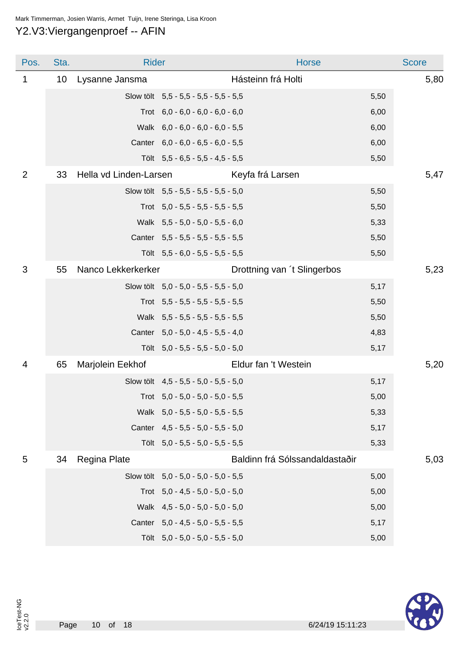#### Mark Timmerman, Josien Warris, Armet Tuijn, Irene Steringa, Lisa Kroon

#### Y2.V3:Viergangenproef -- AFIN

| Pos.           | Sta.            | <b>Rider</b>           |                                       | <b>Horse</b>                   |      | <b>Score</b> |
|----------------|-----------------|------------------------|---------------------------------------|--------------------------------|------|--------------|
| 1              | 10 <sup>°</sup> | Lysanne Jansma         |                                       | Hásteinn frá Holti             |      | 5,80         |
|                |                 |                        | Slow tölt 5,5 - 5,5 - 5,5 - 5,5 - 5,5 |                                | 5,50 |              |
|                |                 |                        | Trot $6,0 - 6,0 - 6,0 - 6,0 - 6,0$    |                                | 6,00 |              |
|                |                 |                        | Walk 6,0 - 6,0 - 6,0 - 6,0 - 5,5      |                                | 6,00 |              |
|                |                 |                        | Canter 6,0 - 6,0 - 6,5 - 6,0 - 5,5    |                                | 6,00 |              |
|                |                 |                        | Tölt 5,5 - 6,5 - 5,5 - 4,5 - 5,5      |                                | 5,50 |              |
| $\overline{2}$ | 33              | Hella vd Linden-Larsen |                                       | Keyfa frá Larsen               |      | 5,47         |
|                |                 |                        | Slow tölt 5,5 - 5,5 - 5,5 - 5,5 - 5,0 |                                | 5,50 |              |
|                |                 |                        | Trot $5,0 - 5,5 - 5,5 - 5,5 - 5,5$    |                                | 5,50 |              |
|                |                 |                        | Walk 5,5 - 5,0 - 5,0 - 5,5 - 6,0      |                                | 5,33 |              |
|                |                 |                        | Canter 5,5 - 5,5 - 5,5 - 5,5 - 5,5    |                                | 5,50 |              |
|                |                 |                        | Tölt 5,5 - 6,0 - 5,5 - 5,5 - 5,5      |                                | 5,50 |              |
| 3              | 55              | Nanco Lekkerkerker     |                                       | Drottning van 't Slingerbos    |      | 5,23         |
|                |                 |                        | Slow tölt 5,0 - 5,0 - 5,5 - 5,5 - 5,0 |                                | 5,17 |              |
|                |                 |                        | Trot $5,5 - 5,5 - 5,5 - 5,5 - 5,5$    |                                | 5,50 |              |
|                |                 |                        | Walk 5,5 - 5,5 - 5,5 - 5,5 - 5,5      |                                | 5,50 |              |
|                |                 |                        | Canter 5,0 - 5,0 - 4,5 - 5,5 - 4,0    |                                | 4,83 |              |
|                |                 |                        | Tölt 5,0 - 5,5 - 5,5 - 5,0 - 5,0      |                                | 5,17 |              |
| 4              | 65              | Marjolein Eekhof       |                                       | Eldur fan 't Westein           |      | 5,20         |
|                |                 |                        | Slow tölt 4,5 - 5,5 - 5,0 - 5,5 - 5,0 |                                | 5,17 |              |
|                |                 |                        | Trot $5,0 - 5,0 - 5,0 - 5,0 - 5,5$    |                                | 5,00 |              |
|                |                 |                        | Walk 5,0 - 5,5 - 5,0 - 5,5 - 5,5      |                                | 5,33 |              |
|                |                 |                        | Canter 4,5 - 5,5 - 5,0 - 5,5 - 5,0    |                                | 5,17 |              |
|                |                 |                        | Tölt 5,0 - 5,5 - 5,0 - 5,5 - 5,5      |                                | 5,33 |              |
| 5              | 34              | Regina Plate           |                                       | Baldinn frá Sólssandaldastaðir |      | 5,03         |
|                |                 |                        | Slow tölt 5,0 - 5,0 - 5,0 - 5,0 - 5,5 |                                | 5,00 |              |
|                |                 |                        | Trot $5,0 - 4,5 - 5,0 - 5,0 - 5,0$    |                                | 5,00 |              |
|                |                 |                        | Walk 4,5 - 5,0 - 5,0 - 5,0 - 5,0      |                                | 5,00 |              |
|                |                 |                        | Canter 5,0 - 4,5 - 5,0 - 5,5 - 5,5    |                                | 5,17 |              |
|                |                 |                        | Tölt 5,0 - 5,0 - 5,0 - 5,5 - 5,0      |                                | 5,00 |              |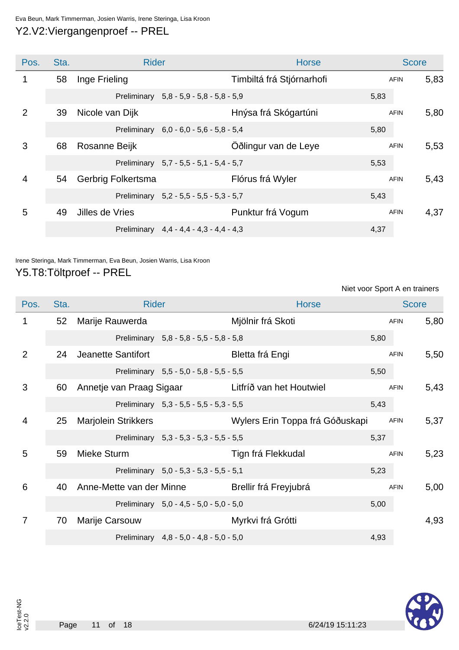#### Eva Beun, Mark Timmerman, Josien Warris, Irene Steringa, Lisa Kroon Y2.V2:Viergangenproef -- PREL

Pos. Sta. Sta. Rider Richards Score Score Score Score Score Score Score Score Score 1 58 Inge Frieling **1986 Inge Frieling** Computer Computer Timbiltá frá Stjórnarhofi AFIN 5,83 Preliminary 5,8 - 5,9 - 5,8 - 5,8 - 5,9 5,9 2 39 Nicole van Dijk **Hnýsa frá Skógartúni** AFIN 5,80 Preliminary 6,0 - 6,0 - 5,6 - 5,8 - 5,4 5,80 3 68 Rosanne Beijk CÖðlingur van de Leye AFIN 5,53 Preliminary 5,7 - 5,5 - 5,1 - 5,4 - 5,7 4 54 Gerbrig Folkertsma **Flórus frá Wyler** AFIN 5,43 Preliminary 5,2 - 5,5 - 5,5 - 5,3 - 5,7 5,43 5 49 Jilles de Vries **Punktur frá Vogum** AFIN 4,37 Preliminary 4,4 - 4,4 - 4,3 - 4,4 - 4,3

### Irene Steringa, Mark Timmerman, Eva Beun, Josien Warris, Lisa Kroon

#### Y5.T8:Töltproef -- PREL

Niet voor Sport A en trainers

| Pos. | Sta.            | <b>Rider</b>               |                                         | <b>Horse</b>                    |      | <b>Score</b> |      |
|------|-----------------|----------------------------|-----------------------------------------|---------------------------------|------|--------------|------|
| 1    | 52 <sub>2</sub> | Marije Rauwerda            |                                         | Mjölnir frá Skoti               |      | <b>AFIN</b>  | 5,80 |
|      |                 |                            | Preliminary 5,8 - 5,8 - 5,5 - 5,8 - 5,8 |                                 | 5,80 |              |      |
| 2    | 24              | Jeanette Santifort         |                                         | Bletta frá Engi                 |      | <b>AFIN</b>  | 5,50 |
|      |                 |                            | Preliminary 5,5 - 5,0 - 5,8 - 5,5 - 5,5 |                                 | 5,50 |              |      |
| 3    | 60              | Annetje van Praag Sigaar   |                                         | Litfríð van het Houtwiel        |      | <b>AFIN</b>  | 5,43 |
|      |                 |                            | Preliminary 5,3 - 5,5 - 5,5 - 5,3 - 5,5 |                                 | 5,43 |              |      |
| 4    | 25              | <b>Marjolein Strikkers</b> |                                         | Wylers Erin Toppa frá Góðuskapi |      | <b>AFIN</b>  | 5,37 |
|      |                 |                            | Preliminary 5,3 - 5,3 - 5,3 - 5,5 - 5,5 |                                 | 5,37 |              |      |
| 5    | 59              | Mieke Sturm                |                                         | Tign frá Flekkudal              |      | <b>AFIN</b>  | 5,23 |
|      |                 |                            | Preliminary 5,0 - 5,3 - 5,3 - 5,5 - 5,1 |                                 | 5,23 |              |      |
| 6    | 40              | Anne-Mette van der Minne   |                                         | Brellir frá Freyjubrá           |      | <b>AFIN</b>  | 5,00 |
|      |                 |                            | Preliminary 5,0 - 4,5 - 5,0 - 5,0 - 5,0 |                                 | 5,00 |              |      |
| 7    | 70              | Marije Carsouw             |                                         | Myrkvi frá Grótti               |      |              | 4,93 |
|      |                 |                            | Preliminary 4,8 - 5,0 - 4,8 - 5,0 - 5,0 |                                 | 4,93 |              |      |

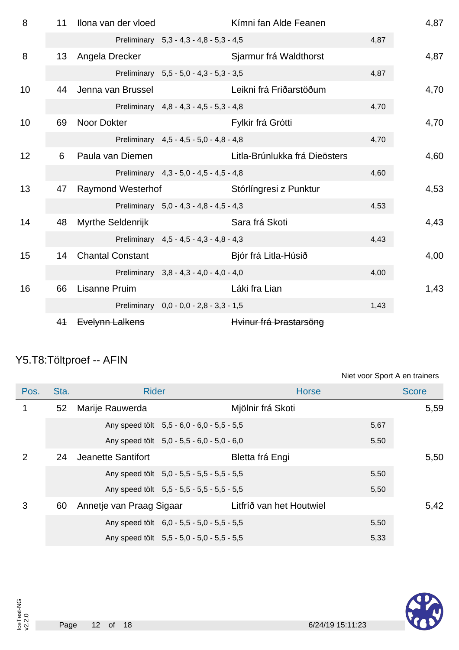| 8  | 11             | Ilona van der vloed      |                                         | Kímni fan Alde Feanen         |      | 4,87 |
|----|----------------|--------------------------|-----------------------------------------|-------------------------------|------|------|
|    |                |                          | Preliminary 5,3 - 4,3 - 4,8 - 5,3 - 4,5 |                               | 4,87 |      |
| 8  | 13             | Angela Drecker           |                                         | Sjarmur frá Waldthorst        |      | 4,87 |
|    |                |                          | Preliminary 5,5 - 5,0 - 4,3 - 5,3 - 3,5 |                               | 4,87 |      |
| 10 | 44             | Jenna van Brussel        |                                         | Leikni frá Friðarstöðum       |      | 4,70 |
|    |                |                          | Preliminary 4,8 - 4,3 - 4,5 - 5,3 - 4,8 |                               | 4,70 |      |
| 10 | 69             | Noor Dokter              |                                         | Fylkir frá Grótti             |      | 4,70 |
|    |                |                          | Preliminary 4,5 - 4,5 - 5,0 - 4,8 - 4,8 |                               | 4,70 |      |
| 12 | 6              | Paula van Diemen         |                                         | Litla-Brúnlukka frá Dieösters |      | 4,60 |
|    |                |                          | Preliminary 4,3 - 5,0 - 4,5 - 4,5 - 4,8 |                               | 4,60 |      |
| 13 | 47             | <b>Raymond Westerhof</b> |                                         | Stórlíngresi z Punktur        |      | 4,53 |
|    |                |                          | Preliminary 5,0 - 4,3 - 4,8 - 4,5 - 4,3 |                               | 4,53 |      |
| 14 | 48             | Myrthe Seldenrijk        |                                         | Sara frá Skoti                |      | 4,43 |
|    |                |                          | Preliminary 4,5 - 4,5 - 4,3 - 4,8 - 4,3 |                               | 4,43 |      |
| 15 | 14             | <b>Chantal Constant</b>  |                                         | Bjór frá Litla-Húsið          |      | 4,00 |
|    |                |                          | Preliminary 3,8 - 4,3 - 4,0 - 4,0 - 4,0 |                               | 4,00 |      |
| 16 | 66             | <b>Lisanne Pruim</b>     |                                         | Láki fra Lian                 |      | 1,43 |
|    |                |                          | Preliminary 0,0 - 0,0 - 2,8 - 3,3 - 1,5 |                               | 1,43 |      |
|    | 4 <sup>4</sup> | Evelynn Lalkens          |                                         | Hvinur frá Þrastarsöng        |      |      |

# Y5.T8:Töltproef -- AFIN

| Niet voor Sport A en trainers |  |
|-------------------------------|--|
|-------------------------------|--|

| Pos.           | Sta.            | <b>Rider</b>                               | <b>Horse</b>             |      | <b>Score</b> |
|----------------|-----------------|--------------------------------------------|--------------------------|------|--------------|
|                | 52 <sub>2</sub> | Marije Rauwerda                            | Mjölnir frá Skoti        |      | 5,59         |
|                |                 | Any speed tölt 5,5 - 6,0 - 6,0 - 5,5 - 5,5 |                          | 5,67 |              |
|                |                 | Any speed tölt 5,0 - 5,5 - 6,0 - 5,0 - 6,0 |                          | 5,50 |              |
| $\overline{2}$ | 24              | Jeanette Santifort                         | Bletta frá Engi          |      | 5,50         |
|                |                 | Any speed tolt 5,0 - 5,5 - 5,5 - 5,5 - 5,5 |                          | 5,50 |              |
|                |                 | Any speed tölt 5,5 - 5,5 - 5,5 - 5,5 - 5,5 |                          | 5,50 |              |
| 3              | 60              | Annetje van Praag Sigaar                   | Litfríð van het Houtwiel |      | 5,42         |
|                |                 | Any speed tolt 6,0 - 5,5 - 5,0 - 5,5 - 5,5 |                          | 5,50 |              |
|                |                 | Any speed tolt 5,5 - 5,0 - 5,0 - 5,5 - 5,5 |                          | 5,33 |              |

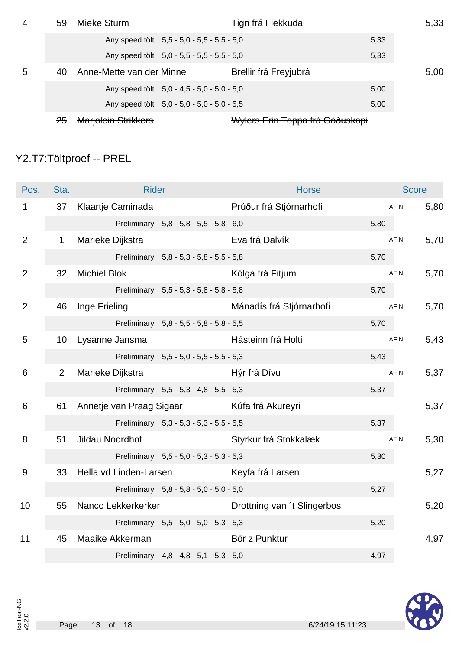| 4 | 59 | Mieke Sturm                |                                            | Tign frá Flekkudal              |      | 5,33 |
|---|----|----------------------------|--------------------------------------------|---------------------------------|------|------|
|   |    |                            | Any speed tolt 5,5 - 5,0 - 5,5 - 5,5 - 5,0 |                                 | 5,33 |      |
|   |    |                            | Any speed tolt 5,0 - 5,5 - 5,5 - 5,5 - 5,0 |                                 | 5,33 |      |
| 5 | 40 | Anne-Mette van der Minne   |                                            | Brellir frá Freyjubrá           |      | 5,00 |
|   |    |                            | Any speed tölt 5,0 - 4,5 - 5,0 - 5,0 - 5,0 |                                 | 5,00 |      |
|   |    |                            | Any speed tolt 5,0 - 5,0 - 5,0 - 5,0 - 5,5 |                                 | 5,00 |      |
|   |    | <b>Marjolein Strikkers</b> |                                            | Wylers Erin Toppa frá Góðuskapi |      |      |

## Y2.T7:Töltproef -- PREL

| Pos.           | Sta.            | <b>Rider</b>                               |                                         | <b>Horse</b>                |      | <b>Score</b> |      |
|----------------|-----------------|--------------------------------------------|-----------------------------------------|-----------------------------|------|--------------|------|
| $\mathbf{1}$   | 37              | Klaartje Caminada                          |                                         | Prúður frá Stjórnarhofi     |      | <b>AFIN</b>  | 5,80 |
|                |                 |                                            | Preliminary 5,8 - 5,8 - 5,5 - 5,8 - 6,0 |                             | 5,80 |              |      |
| 2              | $\mathbf{1}$    | Marieke Dijkstra                           |                                         | Eva frá Dalvík              |      | <b>AFIN</b>  | 5,70 |
|                |                 |                                            | Preliminary 5,8 - 5,3 - 5,8 - 5,5 - 5,8 |                             | 5,70 |              |      |
| $\overline{2}$ | 32              | <b>Michiel Blok</b>                        |                                         | Kólga frá Fitjum            |      | <b>AFIN</b>  | 5,70 |
|                |                 |                                            | Preliminary 5,5 - 5,3 - 5,8 - 5,8 - 5,8 |                             | 5,70 |              |      |
| $\overline{2}$ | 46              | Inge Frieling                              |                                         | Mánadís frá Stjórnarhofi    |      | <b>AFIN</b>  | 5,70 |
|                |                 |                                            | Preliminary 5,8 - 5,5 - 5,8 - 5,8 - 5,5 |                             | 5,70 |              |      |
| 5              | 10 <sup>°</sup> | Lysanne Jansma                             |                                         | Hásteinn frá Holti          |      | <b>AFIN</b>  | 5,43 |
|                |                 |                                            | Preliminary 5,5 - 5,0 - 5,5 - 5,5 - 5,3 |                             | 5,43 |              |      |
| 6              | $\overline{2}$  | Marieke Dijkstra                           |                                         | Hýr frá Dívu                |      | <b>AFIN</b>  | 5,37 |
|                |                 |                                            | Preliminary 5,5 - 5,3 - 4,8 - 5,5 - 5,3 |                             | 5,37 |              |      |
| 6              | 61              | Annetje van Praag Sigaar Kúfa frá Akureyri |                                         |                             |      |              | 5,37 |
|                |                 |                                            | Preliminary 5,3 - 5,3 - 5,3 - 5,5 - 5,5 |                             | 5,37 |              |      |
| 8              | 51              | Jildau Noordhof                            |                                         | Styrkur frá Stokkalæk       |      | <b>AFIN</b>  | 5,30 |
|                |                 |                                            | Preliminary 5,5 - 5,0 - 5,3 - 5,3 - 5,3 |                             | 5,30 |              |      |
| 9              | 33              | Hella vd Linden-Larsen Keyfa frá Larsen    |                                         |                             |      |              | 5,27 |
|                |                 |                                            | Preliminary 5,8 - 5,8 - 5,0 - 5,0 - 5,0 |                             | 5,27 |              |      |
| 10             | 55              | Nanco Lekkerkerker                         |                                         | Drottning van 't Slingerbos |      |              | 5,20 |
|                |                 |                                            | Preliminary 5,5 - 5,0 - 5,0 - 5,3 - 5,3 |                             | 5,20 |              |      |
| 11             | 45              | Maaike Akkerman                            |                                         | Bör z Punktur               |      |              | 4,97 |
|                |                 |                                            | Preliminary 4,8 - 4,8 - 5,1 - 5,3 - 5,0 |                             | 4,97 |              |      |

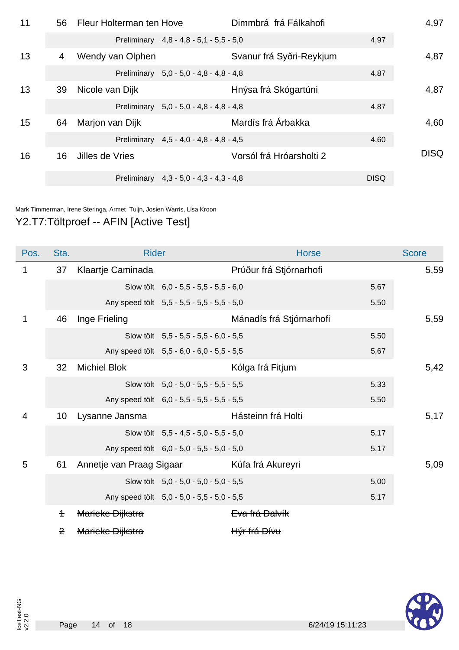| 11 | 56 | Fleur Holterman ten Hove |                                         | Dimmbrá frá Fálkahofi    |             | 4,97        |
|----|----|--------------------------|-----------------------------------------|--------------------------|-------------|-------------|
|    |    |                          | Preliminary 4,8 - 4,8 - 5,1 - 5,5 - 5,0 |                          | 4,97        |             |
| 13 | 4  | Wendy van Olphen         |                                         | Svanur frá Syðri-Reykjum |             | 4,87        |
|    |    |                          | Preliminary 5,0 - 5,0 - 4,8 - 4,8 - 4,8 |                          | 4,87        |             |
| 13 | 39 | Nicole van Dijk          |                                         | Hnýsa frá Skógartúni     |             | 4,87        |
|    |    |                          | Preliminary 5,0 - 5,0 - 4,8 - 4,8 - 4,8 |                          | 4,87        |             |
| 15 | 64 | Marjon van Dijk          |                                         | Mardís frá Árbakka       |             | 4,60        |
|    |    |                          | Preliminary 4,5 - 4,0 - 4,8 - 4,8 - 4,5 |                          | 4,60        |             |
| 16 | 16 | Jilles de Vries          |                                         | Vorsól frá Hróarsholti 2 |             | <b>DISQ</b> |
|    |    |                          | Preliminary 4,3 - 5,0 - 4,3 - 4,3 - 4,8 |                          | <b>DISQ</b> |             |

Mark Timmerman, Irene Steringa, Armet Tuijn, Josien Warris, Lisa Kroon

### Y2.T7:Töltproef -- AFIN [Active Test]

| Pos.           | Sta.         | <b>Rider</b>             |                                            | <b>Horse</b>             |      | <b>Score</b> |
|----------------|--------------|--------------------------|--------------------------------------------|--------------------------|------|--------------|
| 1              | 37           | Klaartje Caminada        |                                            | Prúður frá Stjórnarhofi  |      | 5,59         |
|                |              |                          | Slow tölt 6,0 - 5,5 - 5,5 - 5,5 - 6,0      |                          | 5,67 |              |
|                |              |                          | Any speed tölt 5,5 - 5,5 - 5,5 - 5,5 - 5,0 |                          | 5,50 |              |
| 1              | 46           | Inge Frieling            |                                            | Mánadís frá Stjórnarhofi |      | 5,59         |
|                |              |                          | Slow tölt 5,5 - 5,5 - 5,5 - 6,0 - 5,5      |                          | 5,50 |              |
|                |              |                          | Any speed tölt 5,5 - 6,0 - 6,0 - 5,5 - 5,5 |                          | 5,67 |              |
| 3              | 32           | <b>Michiel Blok</b>      |                                            | Kólga frá Fitjum         |      | 5,42         |
|                |              |                          | Slow tölt 5,0 - 5,0 - 5,5 - 5,5 - 5,5      |                          | 5,33 |              |
|                |              |                          | Any speed tölt 6,0 - 5,5 - 5,5 - 5,5 - 5,5 |                          | 5,50 |              |
| $\overline{4}$ | 10           | Lysanne Jansma           |                                            | Hásteinn frá Holti       |      | 5,17         |
|                |              |                          | Slow tölt 5,5 - 4,5 - 5,0 - 5,5 - 5,0      |                          | 5,17 |              |
|                |              |                          | Any speed tölt 6,0 - 5,0 - 5,5 - 5,0 - 5,0 |                          | 5,17 |              |
| 5              | 61           | Annetje van Praag Sigaar |                                            | Kúfa frá Akureyri        |      | 5,09         |
|                |              |                          | Slow tölt 5,0 - 5,0 - 5,0 - 5,0 - 5,5      |                          | 5,00 |              |
|                |              |                          | Any speed tölt 5,0 - 5,0 - 5,5 - 5,0 - 5,5 |                          | 5,17 |              |
|                | $\ddagger$   | Marieke Dijkstra         |                                            | Eva frá Dalvík           |      |              |
|                | $\mathbf{P}$ | Marieke Dijkstra         |                                            | Hýr frá Dívu             |      |              |

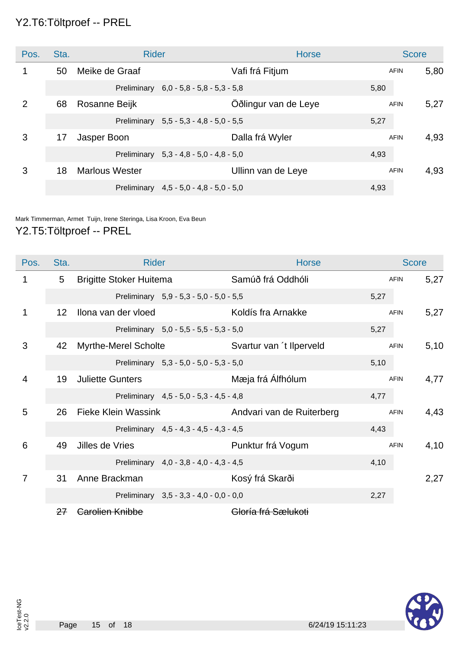#### Y2.T6:Töltproef -- PREL

| Pos.           | Sta. | <b>Rider</b>          |                                           | <b>Horse</b>         |      | <b>Score</b> |      |
|----------------|------|-----------------------|-------------------------------------------|----------------------|------|--------------|------|
| 1              | 50   | Meike de Graaf        |                                           | Vafi frá Fitjum      |      | <b>AFIN</b>  | 5,80 |
|                |      |                       | Preliminary 6,0 - 5,8 - 5,8 - 5,3 - 5,8   |                      | 5,80 |              |      |
| $\overline{2}$ | 68   | Rosanne Beijk         |                                           | Oðlingur van de Leye |      | <b>AFIN</b>  | 5,27 |
|                |      |                       | Preliminary 5,5 - 5,3 - 4,8 - 5,0 - 5,5   |                      | 5,27 |              |      |
| 3              | 17   | Jasper Boon           |                                           | Dalla frá Wyler      |      | <b>AFIN</b>  | 4,93 |
|                |      |                       | Preliminary $5.3 - 4.8 - 5.0 - 4.8 - 5.0$ |                      | 4,93 |              |      |
| 3              | 18   | <b>Marlous Wester</b> |                                           | Ullinn van de Leye   |      | <b>AFIN</b>  | 4,93 |
|                |      |                       | Preliminary 4,5 - 5,0 - 4,8 - 5,0 - 5,0   |                      | 4,93 |              |      |

Mark Timmerman, Armet Tuijn, Irene Steringa, Lisa Kroon, Eva Beun

#### Y2.T5:Töltproef -- PREL

| Pos.           | Sta.            | <b>Rider</b>                   |                                         | <b>Horse</b>              |      | <b>Score</b> |      |
|----------------|-----------------|--------------------------------|-----------------------------------------|---------------------------|------|--------------|------|
| 1              | 5               | <b>Brigitte Stoker Huitema</b> |                                         | Samúð frá Oddhóli         |      | <b>AFIN</b>  | 5,27 |
|                |                 |                                | Preliminary 5,9 - 5,3 - 5,0 - 5,0 - 5,5 |                           | 5,27 |              |      |
| 1              | 12 <sup>2</sup> | Ilona van der vloed            |                                         | Koldís fra Arnakke        |      | <b>AFIN</b>  | 5,27 |
|                |                 |                                | Preliminary 5,0 - 5,5 - 5,5 - 5,3 - 5,0 |                           | 5,27 |              |      |
| 3              | 42              | <b>Myrthe-Merel Scholte</b>    |                                         | Svartur van 't Ilperveld  |      | <b>AFIN</b>  | 5,10 |
|                |                 |                                | Preliminary 5,3 - 5,0 - 5,0 - 5,3 - 5,0 |                           | 5,10 |              |      |
| 4              | 19              | <b>Juliette Gunters</b>        |                                         | Mæja frá Álfhólum         |      | <b>AFIN</b>  | 4,77 |
|                |                 |                                | Preliminary 4,5 - 5,0 - 5,3 - 4,5 - 4,8 |                           | 4,77 |              |      |
| 5              | 26              | <b>Fieke Klein Wassink</b>     |                                         | Andvari van de Ruiterberg |      | <b>AFIN</b>  | 4,43 |
|                |                 |                                | Preliminary 4,5 - 4,3 - 4,5 - 4,3 - 4,5 |                           | 4,43 |              |      |
| 6              | 49              | Jilles de Vries                |                                         | Punktur frá Vogum         |      | <b>AFIN</b>  | 4,10 |
|                |                 |                                | Preliminary 4,0 - 3,8 - 4,0 - 4,3 - 4,5 |                           | 4,10 |              |      |
| $\overline{7}$ | 31              | Anne Brackman                  |                                         | Kosý frá Skarði           |      |              | 2,27 |
|                |                 |                                | Preliminary 3,5 - 3,3 - 4,0 - 0,0 - 0,0 |                           | 2,27 |              |      |
|                | 27              | Carolien Knibbe                |                                         | Gloría frá Sælukoti       |      |              |      |

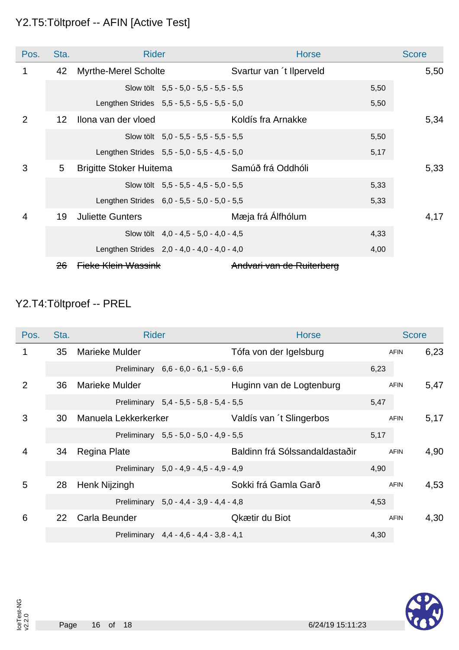### Y2.T5:Töltproef -- AFIN [Active Test]

| Pos.           | Sta.              | <b>Rider</b>                   |                                              | <b>Horse</b>              |      | <b>Score</b> |
|----------------|-------------------|--------------------------------|----------------------------------------------|---------------------------|------|--------------|
| 1              | 42                | <b>Myrthe-Merel Scholte</b>    |                                              | Svartur van 't Ilperveld  |      | 5,50         |
|                |                   |                                | Slow tölt $5.5 - 5.0 - 5.5 - 5.5 - 5.5$      |                           | 5,50 |              |
|                |                   |                                | Lengthen Strides 5,5 - 5,5 - 5,5 - 5,5 - 5,0 |                           | 5,50 |              |
| $\overline{2}$ | $12 \overline{ }$ | Ilona van der vloed            |                                              | Koldís fra Arnakke        |      | 5,34         |
|                |                   |                                | Slow tölt $5,0 - 5,5 - 5,5 - 5,5 - 5,5$      |                           | 5,50 |              |
|                |                   |                                | Lengthen Strides 5,5 - 5,0 - 5,5 - 4,5 - 5,0 |                           | 5,17 |              |
| 3              | 5                 | <b>Brigitte Stoker Huitema</b> |                                              | Samúð frá Oddhóli         |      | 5,33         |
|                |                   |                                | Slow tölt $5.5 - 5.5 - 4.5 - 5.0 - 5.5$      |                           | 5,33 |              |
|                |                   |                                | Lengthen Strides 6,0 - 5,5 - 5,0 - 5,0 - 5,5 |                           | 5,33 |              |
| 4              | 19                | <b>Juliette Gunters</b>        |                                              | Mæja frá Álfhólum         |      | 4,17         |
|                |                   |                                | Slow tölt $4.0 - 4.5 - 5.0 - 4.0 - 4.5$      |                           | 4,33 |              |
|                |                   |                                | Lengthen Strides 2,0 - 4,0 - 4,0 - 4,0 - 4,0 |                           | 4,00 |              |
|                | <del>26</del>     | <b>Fieke Klein Wassink</b>     |                                              | Andvari van de Ruiterberg |      |              |

## Y2.T4:Töltproef -- PREL

| Pos.           | Sta. | <b>Rider</b>                            | <b>Horse</b>                   | <b>Score</b>        |
|----------------|------|-----------------------------------------|--------------------------------|---------------------|
|                | 35   | <b>Marieke Mulder</b>                   | Tófa von der Igelsburg         | 6,23<br><b>AFIN</b> |
|                |      | Preliminary 6,6 - 6,0 - 6,1 - 5,9 - 6,6 | 6,23                           |                     |
| $\overline{2}$ | 36   | <b>Marieke Mulder</b>                   | Huginn van de Logtenburg       | 5,47<br><b>AFIN</b> |
|                |      | Preliminary 5,4 - 5,5 - 5,8 - 5,4 - 5,5 | 5,47                           |                     |
| 3              | 30   | Manuela Lekkerkerker                    | Valdís van 't Slingerbos       | 5,17<br><b>AFIN</b> |
|                |      | Preliminary 5,5 - 5,0 - 5,0 - 4,9 - 5,5 | 5,17                           |                     |
| 4              | 34   | Regina Plate                            | Baldinn frá Sólssandaldastaðir | 4,90<br><b>AFIN</b> |
|                |      | Preliminary 5,0 - 4,9 - 4,5 - 4,9 - 4,9 | 4,90                           |                     |
| 5              | 28   | Henk Nijzingh                           | Sokki frá Gamla Garð           | 4,53<br><b>AFIN</b> |
|                |      | Preliminary 5,0 - 4,4 - 3,9 - 4,4 - 4,8 | 4,53                           |                     |
| 6              | 22   | Carla Beunder                           | Qkætir du Biot                 | 4,30<br><b>AFIN</b> |
|                |      | Preliminary 4,4 - 4,6 - 4,4 - 3,8 - 4,1 | 4,30                           |                     |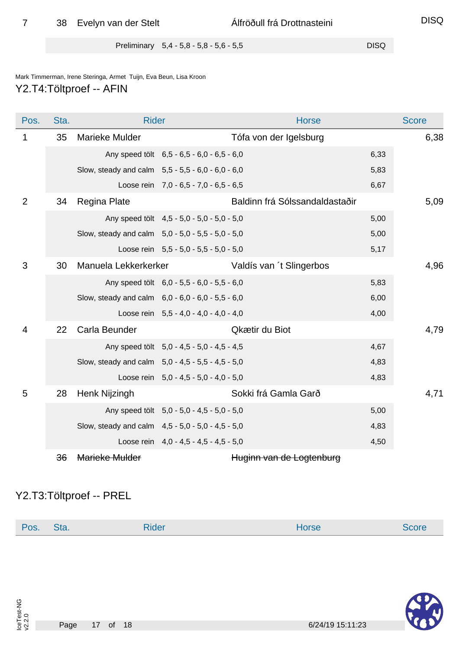Preliminary 5,4 - 5,8 - 5,8 - 5,6 - 5,5

#### Mark Timmerman, Irene Steringa, Armet Tuijn, Eva Beun, Lisa Kroon Y2.T4:Töltproef -- AFIN

| Pos.           | Sta. | <b>Rider</b>                                      |                                            | <b>Horse</b>                   |      | <b>Score</b> |
|----------------|------|---------------------------------------------------|--------------------------------------------|--------------------------------|------|--------------|
| 1              | 35   | Marieke Mulder                                    |                                            | Tófa von der Igelsburg         |      | 6,38         |
|                |      |                                                   | Any speed tölt 6,5 - 6,5 - 6,0 - 6,5 - 6,0 |                                | 6,33 |              |
|                |      | Slow, steady and calm 5,5 - 5,5 - 6,0 - 6,0 - 6,0 |                                            |                                | 5,83 |              |
|                |      |                                                   | Loose rein 7,0 - 6,5 - 7,0 - 6,5 - 6,5     |                                | 6,67 |              |
| $\overline{2}$ | 34   | Regina Plate                                      |                                            | Baldinn frá Sólssandaldastaðir |      | 5,09         |
|                |      |                                                   | Any speed tölt 4,5 - 5,0 - 5,0 - 5,0 - 5,0 |                                | 5,00 |              |
|                |      | Slow, steady and calm 5,0 - 5,0 - 5,5 - 5,0 - 5,0 |                                            |                                | 5,00 |              |
|                |      |                                                   | Loose rein $5,5 - 5,0 - 5,5 - 5,0 - 5,0$   |                                | 5,17 |              |
| 3              | 30   | Manuela Lekkerkerker                              |                                            | Valdís van 't Slingerbos       |      | 4,96         |
|                |      |                                                   | Any speed tölt 6,0 - 5,5 - 6,0 - 5,5 - 6,0 |                                | 5,83 |              |
|                |      | Slow, steady and calm 6,0 - 6,0 - 6,0 - 5,5 - 6,0 |                                            |                                | 6,00 |              |
|                |      |                                                   | Loose rein $5,5 - 4,0 - 4,0 - 4,0 - 4,0$   |                                | 4,00 |              |
| 4              | 22   | Carla Beunder                                     |                                            | Qkætir du Biot                 |      | 4,79         |
|                |      |                                                   | Any speed tölt 5,0 - 4,5 - 5,0 - 4,5 - 4,5 |                                | 4,67 |              |
|                |      | Slow, steady and calm 5,0 - 4,5 - 5,5 - 4,5 - 5,0 |                                            |                                | 4,83 |              |
|                |      |                                                   | Loose rein $5.0 - 4.5 - 5.0 - 4.0 - 5.0$   |                                | 4,83 |              |
| 5              | 28   | Henk Nijzingh                                     |                                            | Sokki frá Gamla Garð           |      | 4,71         |
|                |      |                                                   | Any speed tölt 5,0 - 5,0 - 4,5 - 5,0 - 5,0 |                                | 5,00 |              |
|                |      | Slow, steady and calm 4,5 - 5,0 - 5,0 - 4,5 - 5,0 |                                            |                                | 4,83 |              |
|                |      |                                                   | Loose rein $4.0 - 4.5 - 4.5 - 4.5 - 5.0$   |                                | 4,50 |              |
|                | 36   | Marieke Mulder                                    |                                            | Huginn van de Logtenburg       |      |              |

#### Y2.T3:Töltproef -- PREL

| POS. | sta. | --<br>uder | Horse | ור זי זר |
|------|------|------------|-------|----------|
|      |      |            |       |          |